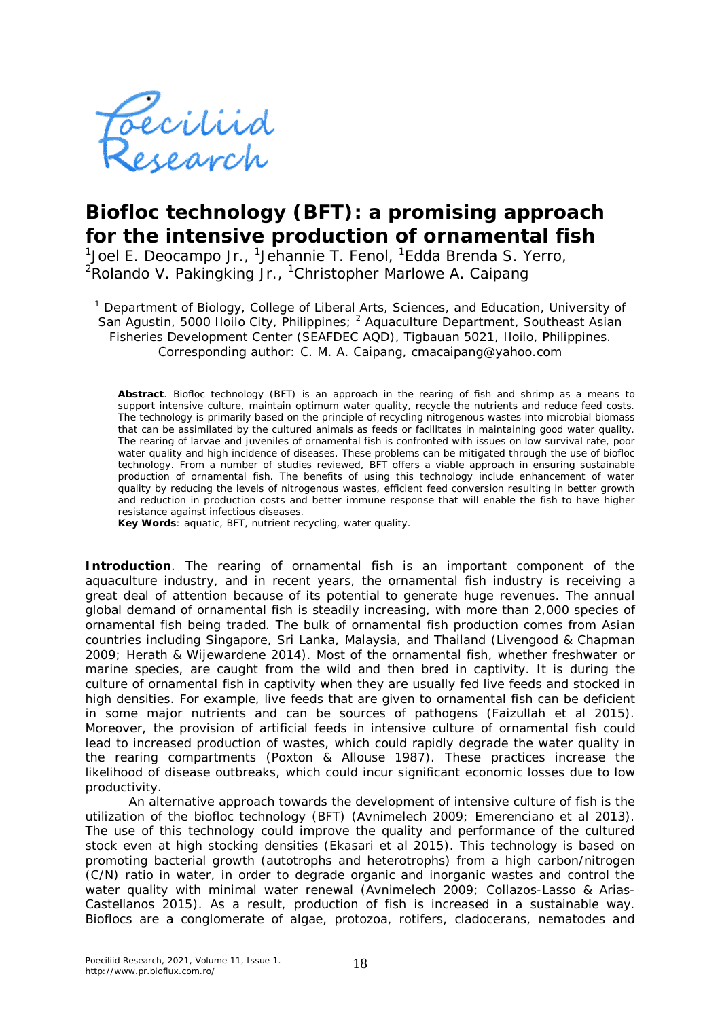

## **Biofloc technology (BFT): a promising approach for the intensive production of ornamental fish**

<sup>1</sup>Joel E. Deocampo Jr., <sup>1</sup>Jehannie T. Fenol, <sup>1</sup>Edda Brenda S. Yerro, <sup>2</sup>Rolando V. Pakingking Jr., <sup>1</sup>Christopher Marlowe A. Caipang

<sup>1</sup> Department of Biology, College of Liberal Arts, Sciences, and Education, University of San Agustin, 5000 Iloilo City, Philippines; <sup>2</sup> Aquaculture Department, Southeast Asian Fisheries Development Center (SEAFDEC AQD), Tigbauan 5021, Iloilo, Philippines. Corresponding author: C. M. A. Caipang, cmacaipang@yahoo.com

**Abstract**. Biofloc technology (BFT) is an approach in the rearing of fish and shrimp as a means to support intensive culture, maintain optimum water quality, recycle the nutrients and reduce feed costs. The technology is primarily based on the principle of recycling nitrogenous wastes into microbial biomass that can be assimilated by the cultured animals as feeds or facilitates in maintaining good water quality. The rearing of larvae and juveniles of ornamental fish is confronted with issues on low survival rate, poor water quality and high incidence of diseases. These problems can be mitigated through the use of biofloc technology. From a number of studies reviewed, BFT offers a viable approach in ensuring sustainable production of ornamental fish. The benefits of using this technology include enhancement of water quality by reducing the levels of nitrogenous wastes, efficient feed conversion resulting in better growth and reduction in production costs and better immune response that will enable the fish to have higher resistance against infectious diseases.

**Key Words**: aquatic, BFT, nutrient recycling, water quality.

**Introduction**. The rearing of ornamental fish is an important component of the aquaculture industry, and in recent years, the ornamental fish industry is receiving a great deal of attention because of its potential to generate huge revenues. The annual global demand of ornamental fish is steadily increasing, with more than 2,000 species of ornamental fish being traded. The bulk of ornamental fish production comes from Asian countries including Singapore, Sri Lanka, Malaysia, and Thailand (Livengood & Chapman 2009; Herath & Wijewardene 2014). Most of the ornamental fish, whether freshwater or marine species, are caught from the wild and then bred in captivity. It is during the culture of ornamental fish in captivity when they are usually fed live feeds and stocked in high densities. For example, live feeds that are given to ornamental fish can be deficient in some major nutrients and can be sources of pathogens (Faizullah et al 2015). Moreover, the provision of artificial feeds in intensive culture of ornamental fish could lead to increased production of wastes, which could rapidly degrade the water quality in the rearing compartments (Poxton & Allouse 1987). These practices increase the likelihood of disease outbreaks, which could incur significant economic losses due to low productivity.

An alternative approach towards the development of intensive culture of fish is the utilization of the biofloc technology (BFT) (Avnimelech 2009; Emerenciano et al 2013). The use of this technology could improve the quality and performance of the cultured stock even at high stocking densities (Ekasari et al 2015). This technology is based on promoting bacterial growth (autotrophs and heterotrophs) from a high carbon/nitrogen (C/N) ratio in water, in order to degrade organic and inorganic wastes and control the water quality with minimal water renewal (Avnimelech 2009; Collazos-Lasso & Arias-Castellanos 2015). As a result, production of fish is increased in a sustainable way. Bioflocs are a conglomerate of algae, protozoa, rotifers, cladocerans, nematodes and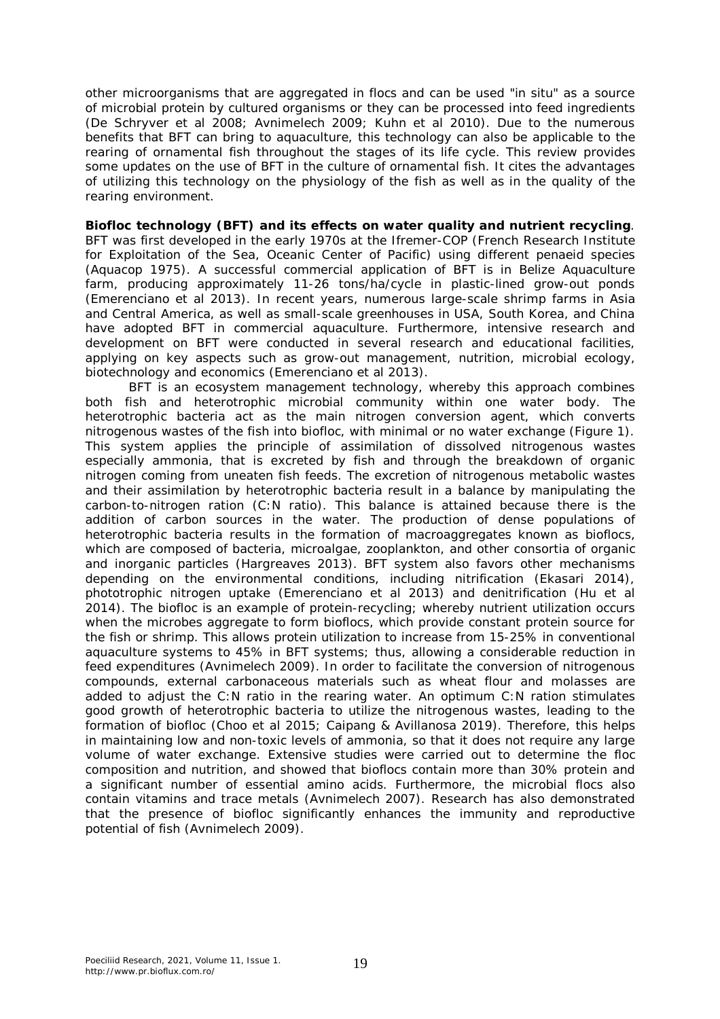other microorganisms that are aggregated in flocs and can be used "*in situ*" as a source of microbial protein by cultured organisms or they can be processed into feed ingredients (De Schryver et al 2008; Avnimelech 2009; Kuhn et al 2010). Due to the numerous benefits that BFT can bring to aquaculture, this technology can also be applicable to the rearing of ornamental fish throughout the stages of its life cycle. This review provides some updates on the use of BFT in the culture of ornamental fish. It cites the advantages of utilizing this technology on the physiology of the fish as well as in the quality of the rearing environment.

**Biofloc technology (BFT) and its effects on water quality and nutrient recycling**. BFT was first developed in the early 1970s at the Ifremer-COP (French Research Institute for Exploitation of the Sea, Oceanic Center of Pacific) using different penaeid species (Aquacop 1975). A successful commercial application of BFT is in Belize Aquaculture farm, producing approximately 11-26 tons/ha/cycle in plastic-lined grow-out ponds (Emerenciano et al 2013). In recent years, numerous large-scale shrimp farms in Asia and Central America, as well as small-scale greenhouses in USA, South Korea, and China have adopted BFT in commercial aquaculture. Furthermore, intensive research and development on BFT were conducted in several research and educational facilities, applying on key aspects such as grow-out management, nutrition, microbial ecology, biotechnology and economics (Emerenciano et al 2013).

BFT is an ecosystem management technology, whereby this approach combines both fish and heterotrophic microbial community within one water body. The heterotrophic bacteria act as the main nitrogen conversion agent, which converts nitrogenous wastes of the fish into biofloc, with minimal or no water exchange (Figure 1). This system applies the principle of assimilation of dissolved nitrogenous wastes especially ammonia, that is excreted by fish and through the breakdown of organic nitrogen coming from uneaten fish feeds. The excretion of nitrogenous metabolic wastes and their assimilation by heterotrophic bacteria result in a balance by manipulating the carbon-to-nitrogen ration (C:N ratio). This balance is attained because there is the addition of carbon sources in the water. The production of dense populations of heterotrophic bacteria results in the formation of macroaggregates known as bioflocs, which are composed of bacteria, microalgae, zooplankton, and other consortia of organic and inorganic particles (Hargreaves 2013). BFT system also favors other mechanisms depending on the environmental conditions, including nitrification (Ekasari 2014), phototrophic nitrogen uptake (Emerenciano et al 2013) and denitrification (Hu et al 2014). The biofloc is an example of protein-recycling; whereby nutrient utilization occurs when the microbes aggregate to form bioflocs, which provide constant protein source for the fish or shrimp. This allows protein utilization to increase from 15-25% in conventional aquaculture systems to 45% in BFT systems; thus, allowing a considerable reduction in feed expenditures (Avnimelech 2009). In order to facilitate the conversion of nitrogenous compounds, external carbonaceous materials such as wheat flour and molasses are added to adjust the C:N ratio in the rearing water. An optimum C:N ration stimulates good growth of heterotrophic bacteria to utilize the nitrogenous wastes, leading to the formation of biofloc (Choo et al 2015; Caipang & Avillanosa 2019). Therefore, this helps in maintaining low and non-toxic levels of ammonia, so that it does not require any large volume of water exchange. Extensive studies were carried out to determine the floc composition and nutrition, and showed that bioflocs contain more than 30% protein and a significant number of essential amino acids. Furthermore, the microbial flocs also contain vitamins and trace metals (Avnimelech 2007). Research has also demonstrated that the presence of biofloc significantly enhances the immunity and reproductive potential of fish (Avnimelech 2009).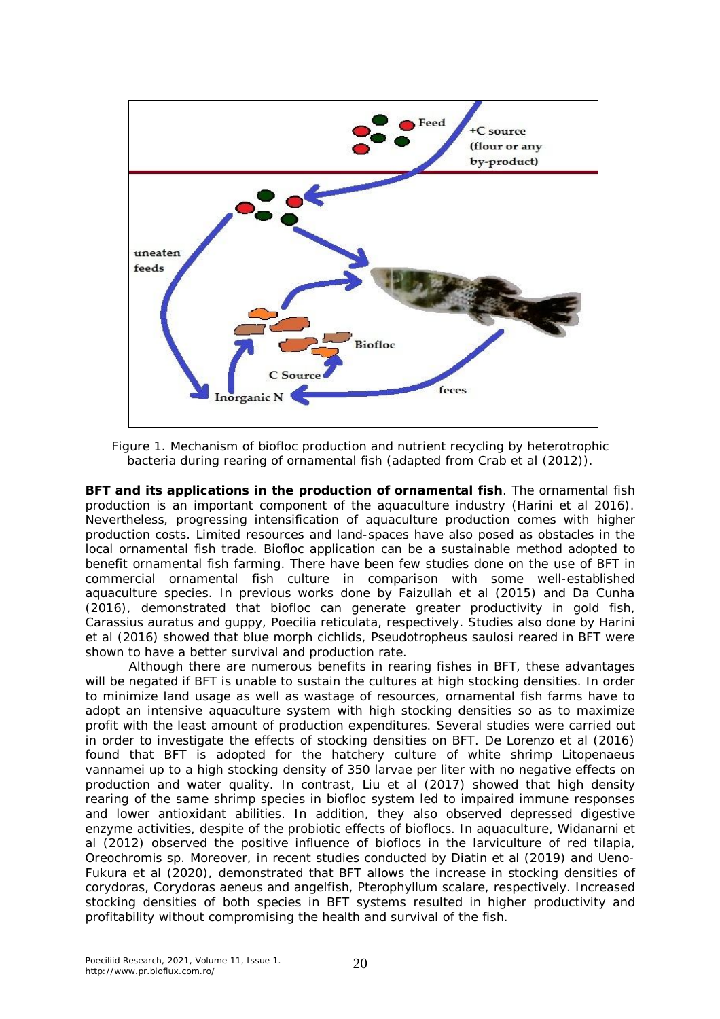

Figure 1. Mechanism of biofloc production and nutrient recycling by heterotrophic bacteria during rearing of ornamental fish (adapted from Crab et al (2012)).

**BFT and its applications in the production of ornamental fish**. The ornamental fish production is an important component of the aquaculture industry (Harini et al 2016). Nevertheless, progressing intensification of aquaculture production comes with higher production costs. Limited resources and land-spaces have also posed as obstacles in the local ornamental fish trade. Biofloc application can be a sustainable method adopted to benefit ornamental fish farming. There have been few studies done on the use of BFT in commercial ornamental fish culture in comparison with some well-established aquaculture species. In previous works done by Faizullah et al (2015) and Da Cunha (2016), demonstrated that biofloc can generate greater productivity in gold fish, *Carassius auratus* and guppy, *Poecilia reticulata*, respectively. Studies also done by Harini et al (2016) showed that blue morph cichlids, *Pseudotropheus saulosi* reared in BFT were shown to have a better survival and production rate.

Although there are numerous benefits in rearing fishes in BFT, these advantages will be negated if BFT is unable to sustain the cultures at high stocking densities. In order to minimize land usage as well as wastage of resources, ornamental fish farms have to adopt an intensive aquaculture system with high stocking densities so as to maximize profit with the least amount of production expenditures. Several studies were carried out in order to investigate the effects of stocking densities on BFT. De Lorenzo et al (2016) found that BFT is adopted for the hatchery culture of white shrimp *Litopenaeus vannamei* up to a high stocking density of 350 larvae per liter with no negative effects on production and water quality. In contrast, Liu et al (2017) showed that high density rearing of the same shrimp species in biofloc system led to impaired immune responses and lower antioxidant abilities. In addition, they also observed depressed digestive enzyme activities, despite of the probiotic effects of bioflocs. In aquaculture, Widanarni et al (2012) observed the positive influence of bioflocs in the larviculture of red tilapia, *Oreochromis* sp. Moreover, in recent studies conducted by Diatin et al (2019) and Ueno-Fukura et al (2020), demonstrated that BFT allows the increase in stocking densities of corydoras, *Corydoras aeneus* and angelfish, *Pterophyllum scalare*, respectively. Increased stocking densities of both species in BFT systems resulted in higher productivity and profitability without compromising the health and survival of the fish.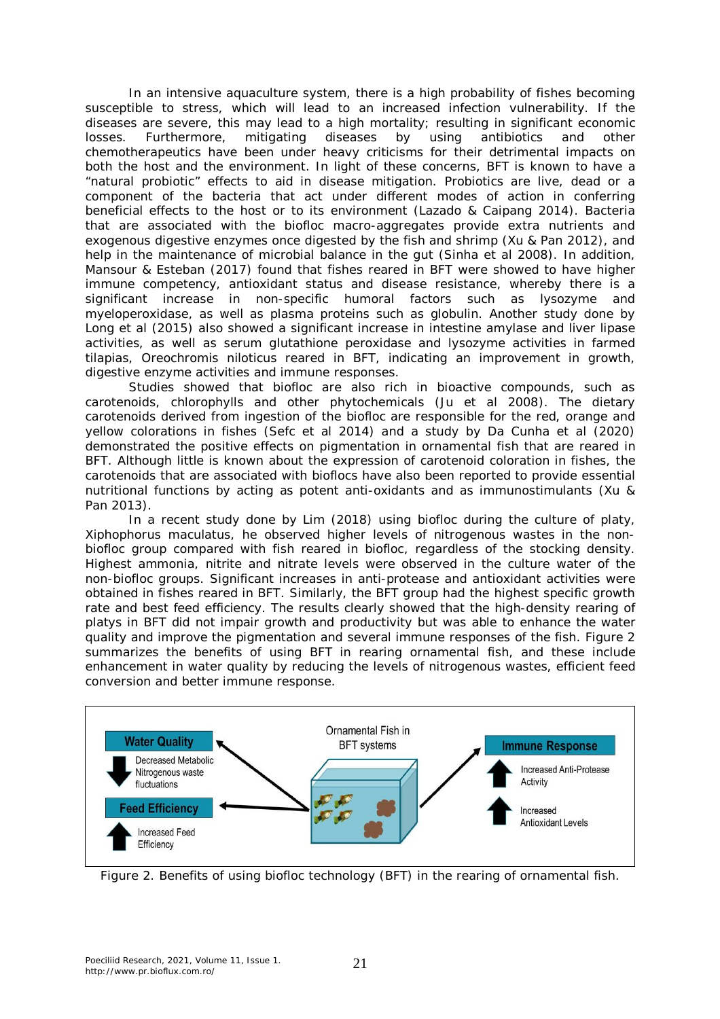In an intensive aquaculture system, there is a high probability of fishes becoming susceptible to stress, which will lead to an increased infection vulnerability. If the diseases are severe, this may lead to a high mortality; resulting in significant economic losses. Furthermore, mitigating diseases by using antibiotics and other chemotherapeutics have been under heavy criticisms for their detrimental impacts on both the host and the environment. In light of these concerns, BFT is known to have a "natural probiotic" effects to aid in disease mitigation. Probiotics are live, dead or a component of the bacteria that act under different modes of action in conferring beneficial effects to the host or to its environment (Lazado & Caipang 2014). Bacteria that are associated with the biofloc macro-aggregates provide extra nutrients and exogenous digestive enzymes once digested by the fish and shrimp (Xu & Pan 2012), and help in the maintenance of microbial balance in the gut (Sinha et al 2008). In addition, Mansour & Esteban (2017) found that fishes reared in BFT were showed to have higher immune competency, antioxidant status and disease resistance, whereby there is a significant increase in non-specific humoral factors such as lysozyme and myeloperoxidase, as well as plasma proteins such as globulin. Another study done by Long et al (2015) also showed a significant increase in intestine amylase and liver lipase activities, as well as serum glutathione peroxidase and lysozyme activities in farmed tilapias, *Oreochromis niloticus* reared in BFT, indicating an improvement in growth, digestive enzyme activities and immune responses.

Studies showed that biofloc are also rich in bioactive compounds, such as carotenoids, chlorophylls and other phytochemicals (Ju et al 2008). The dietary carotenoids derived from ingestion of the biofloc are responsible for the red, orange and yellow colorations in fishes (Sefc et al 2014) and a study by Da Cunha et al (2020) demonstrated the positive effects on pigmentation in ornamental fish that are reared in BFT. Although little is known about the expression of carotenoid coloration in fishes, the carotenoids that are associated with bioflocs have also been reported to provide essential nutritional functions by acting as potent anti-oxidants and as immunostimulants (Xu & Pan 2013).

In a recent study done by Lim (2018) using biofloc during the culture of platy, *Xiphophorus maculatus*, he observed higher levels of nitrogenous wastes in the nonbiofloc group compared with fish reared in biofloc, regardless of the stocking density. Highest ammonia, nitrite and nitrate levels were observed in the culture water of the non-biofloc groups. Significant increases in anti-protease and antioxidant activities were obtained in fishes reared in BFT. Similarly, the BFT group had the highest specific growth rate and best feed efficiency. The results clearly showed that the high-density rearing of platys in BFT did not impair growth and productivity but was able to enhance the water quality and improve the pigmentation and several immune responses of the fish. Figure 2 summarizes the benefits of using BFT in rearing ornamental fish, and these include enhancement in water quality by reducing the levels of nitrogenous wastes, efficient feed conversion and better immune response.



Figure 2. Benefits of using biofloc technology (BFT) in the rearing of ornamental fish.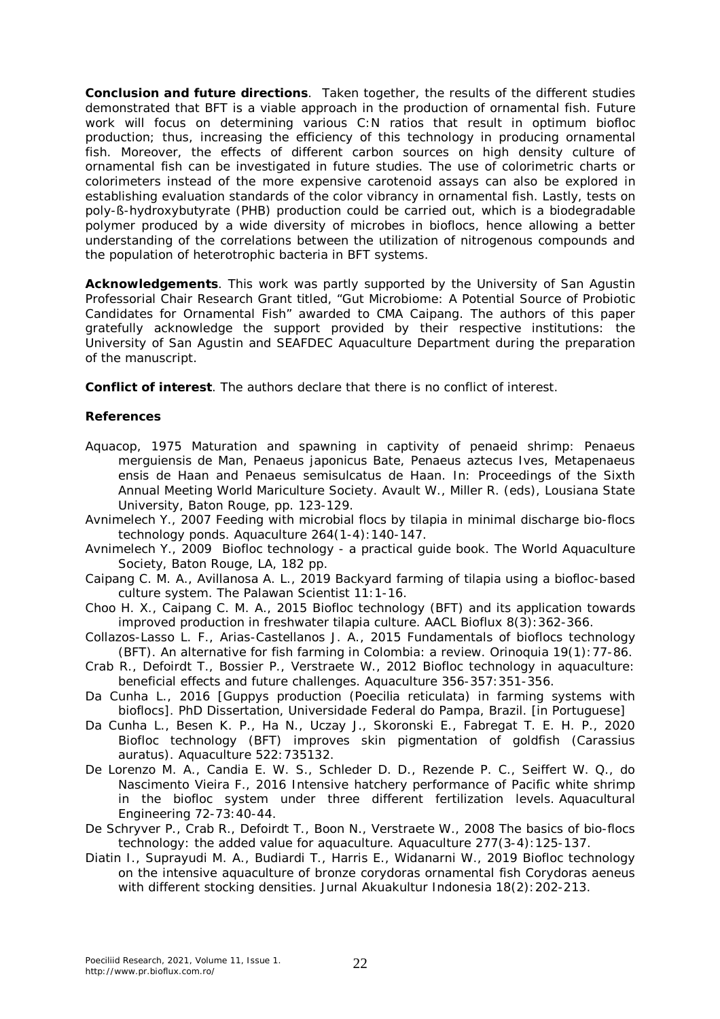**Conclusion and future directions**. Taken together, the results of the different studies demonstrated that BFT is a viable approach in the production of ornamental fish. Future work will focus on determining various C:N ratios that result in optimum biofloc production; thus, increasing the efficiency of this technology in producing ornamental fish. Moreover, the effects of different carbon sources on high density culture of ornamental fish can be investigated in future studies. The use of colorimetric charts or colorimeters instead of the more expensive carotenoid assays can also be explored in establishing evaluation standards of the color vibrancy in ornamental fish. Lastly, tests on poly-ß-hydroxybutyrate (PHB) production could be carried out, which is a biodegradable polymer produced by a wide diversity of microbes in bioflocs, hence allowing a better understanding of the correlations between the utilization of nitrogenous compounds and the population of heterotrophic bacteria in BFT systems.

**Acknowledgements**. This work was partly supported by the University of San Agustin Professorial Chair Research Grant titled, "Gut Microbiome: A Potential Source of Probiotic Candidates for Ornamental Fish" awarded to CMA Caipang. The authors of this paper gratefully acknowledge the support provided by their respective institutions: the University of San Agustin and SEAFDEC Aquaculture Department during the preparation of the manuscript.

**Conflict of interest**. The authors declare that there is no conflict of interest.

## **References**

- Aquacop, 1975 Maturation and spawning in captivity of penaeid shrimp: *Penaeus merguiensis* de Man, *Penaeus japonicus* Bate, *Penaeus aztecus* Ives, *Metapenaeus ensis* de Haan and *Penaeus semisulcatus* de Haan. In: Proceedings of the Sixth Annual Meeting World Mariculture Society. Avault W., Miller R. (eds), Lousiana State University, Baton Rouge, pp. 123-129.
- Avnimelech Y., 2007 Feeding with microbial flocs by tilapia in minimal discharge bio-flocs technology ponds. Aquaculture 264(1-4):140-147.
- Avnimelech Y., 2009 Biofloc technology a practical guide book. The World Aquaculture Society, Baton Rouge, LA, 182 pp.
- Caipang C. M. A., Avillanosa A. L., 2019 Backyard farming of tilapia using a biofloc-based culture system. The Palawan Scientist 11:1-16.
- Choo H. X., Caipang C. M. A., 2015 Biofloc technology (BFT) and its application towards improved production in freshwater tilapia culture. AACL Bioflux 8(3):362-366.
- Collazos-Lasso L. F., Arias-Castellanos J. A., 2015 Fundamentals of bioflocs technology (BFT). An alternative for fish farming in Colombia: a review. Orinoquia 19(1):77-86.
- Crab R., Defoirdt T., Bossier P., Verstraete W., 2012 Biofloc technology in aquaculture: beneficial effects and future challenges. Aquaculture 356-357:351-356.
- Da Cunha L., 2016 [Guppys production (*Poecilia reticulata*) in farming systems with bioflocs]. PhD Dissertation, Universidade Federal do Pampa, Brazil. [in Portuguese]
- Da Cunha L., Besen K. P., Ha N., Uczay J., Skoronski E., Fabregat T. E. H. P., 2020 Biofloc technology (BFT) improves skin pigmentation of goldfish (*Carassius auratus*). Aquaculture 522:735132.
- De Lorenzo M. A., Candia E. W. S., Schleder D. D., Rezende P. C., Seiffert W. Q., do Nascimento Vieira F., 2016 Intensive hatchery performance of Pacific white shrimp in the biofloc system under three different fertilization levels. Aquacultural Engineering 72-73:40-44.
- De Schryver P., Crab R., Defoirdt T., Boon N., Verstraete W., 2008 The basics of bio-flocs technology: the added value for aquaculture. Aquaculture 277(3-4):125-137.
- Diatin I., Suprayudi M. A., Budiardi T., Harris E., Widanarni W., 2019 Biofloc technology on the intensive aquaculture of bronze corydoras ornamental fish *Corydoras aeneus* with different stocking densities. Jurnal Akuakultur Indonesia 18(2): 202-213.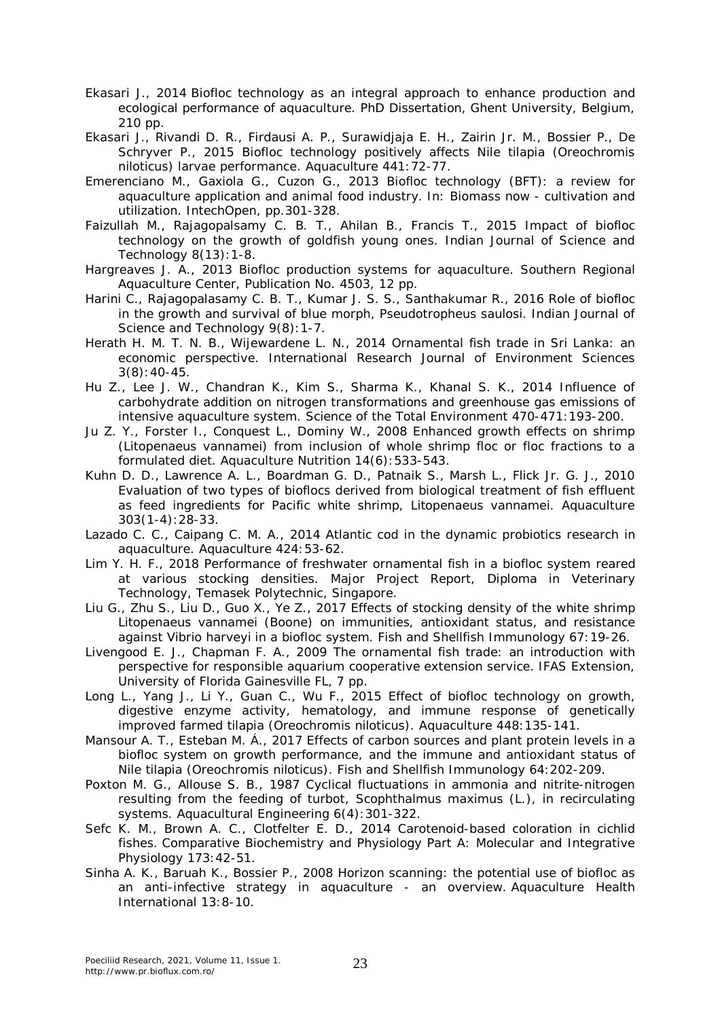- Ekasari J., 2014 Biofloc technology as an integral approach to enhance production and ecological performance of aquaculture. PhD Dissertation, Ghent University, Belgium, 210 pp.
- Ekasari J., Rivandi D. R., Firdausi A. P., Surawidjaja E. H., Zairin Jr. M., Bossier P., De Schryver P., 2015 Biofloc technology positively affects Nile tilapia (*Oreochromis niloticus*) larvae performance. Aquaculture 441:72-77.
- Emerenciano M., Gaxiola G., Cuzon G., 2013 Biofloc technology (BFT): a review for aquaculture application and animal food industry. In: Biomass now - cultivation and utilization. IntechOpen, pp.301-328.
- Faizullah M., Rajagopalsamy C. B. T., Ahilan B., Francis T., 2015 Impact of biofloc technology on the growth of goldfish young ones. Indian Journal of Science and Technology 8(13):1-8.
- Hargreaves J. A., 2013 Biofloc production systems for aquaculture. Southern Regional Aquaculture Center, Publication No. 4503, 12 pp.
- Harini C., Rajagopalasamy C. B. T., Kumar J. S. S., Santhakumar R., 2016 Role of biofloc in the growth and survival of blue morph, *Pseudotropheus saulosi*. Indian Journal of Science and Technology  $9(8)$ : 1-7.
- Herath H. M. T. N. B., Wijewardene L. N., 2014 Ornamental fish trade in Sri Lanka: an economic perspective. International Research Journal of Environment Sciences 3(8):40-45.
- Hu Z., Lee J. W., Chandran K., Kim S., Sharma K., Khanal S. K., 2014 Influence of carbohydrate addition on nitrogen transformations and greenhouse gas emissions of intensive aquaculture system. Science of the Total Environment 470-471:193-200.
- Ju Z. Y., Forster I., Conquest L., Dominy W., 2008 Enhanced growth effects on shrimp (*Litopenaeus vannamei*) from inclusion of whole shrimp floc or floc fractions to a formulated diet. Aquaculture Nutrition 14(6):533-543.
- Kuhn D. D., Lawrence A. L., Boardman G. D., Patnaik S., Marsh L., Flick Jr. G. J., 2010 Evaluation of two types of bioflocs derived from biological treatment of fish effluent as feed ingredients for Pacific white shrimp, *Litopenaeus vannamei*. Aquaculture 303(1-4):28-33.
- Lazado C. C., Caipang C. M. A., 2014 Atlantic cod in the dynamic probiotics research in aquaculture. Aquaculture 424:53-62.
- Lim Y. H. F., 2018 Performance of freshwater ornamental fish in a biofloc system reared at various stocking densities. Major Project Report, Diploma in Veterinary Technology, Temasek Polytechnic, Singapore.
- Liu G., Zhu S., Liu D., Guo X., Ye Z., 2017 Effects of stocking density of the white shrimp *Litopenaeus vannamei* (Boone) on immunities, antioxidant status, and resistance against *Vibrio harveyi* in a biofloc system. Fish and Shellfish Immunology 67:19-26.
- Livengood E. J., Chapman F. A., 2009 The ornamental fish trade: an introduction with perspective for responsible aquarium cooperative extension service. IFAS Extension, University of Florida Gainesville FL, 7 pp.
- Long L., Yang J., Li Y., Guan C., Wu F., 2015 Effect of biofloc technology on growth, digestive enzyme activity, hematology, and immune response of genetically improved farmed tilapia (*Oreochromis niloticus*). Aquaculture 448:135-141.
- Mansour A. T., Esteban M. Á., 2017 Effects of carbon sources and plant protein levels in a biofloc system on growth performance, and the immune and antioxidant status of Nile tilapia (*Oreochromis niloticus*). Fish and Shellfish Immunology 64:202-209.
- Poxton M. G., Allouse S. B., 1987 Cyclical fluctuations in ammonia and nitrite-nitrogen resulting from the feeding of turbot, *Scophthalmus maximus* (L.), in recirculating systems. Aquacultural Engineering 6(4):301-322.
- Sefc K. M., Brown A. C., Clotfelter E. D., 2014 Carotenoid-based coloration in cichlid fishes. Comparative Biochemistry and Physiology Part A: Molecular and Integrative Physiology 173:42-51.
- Sinha A. K., Baruah K., Bossier P., 2008 Horizon scanning: the potential use of biofloc as an anti-infective strategy in aquaculture - an overview. Aquaculture Health International 13:8-10.